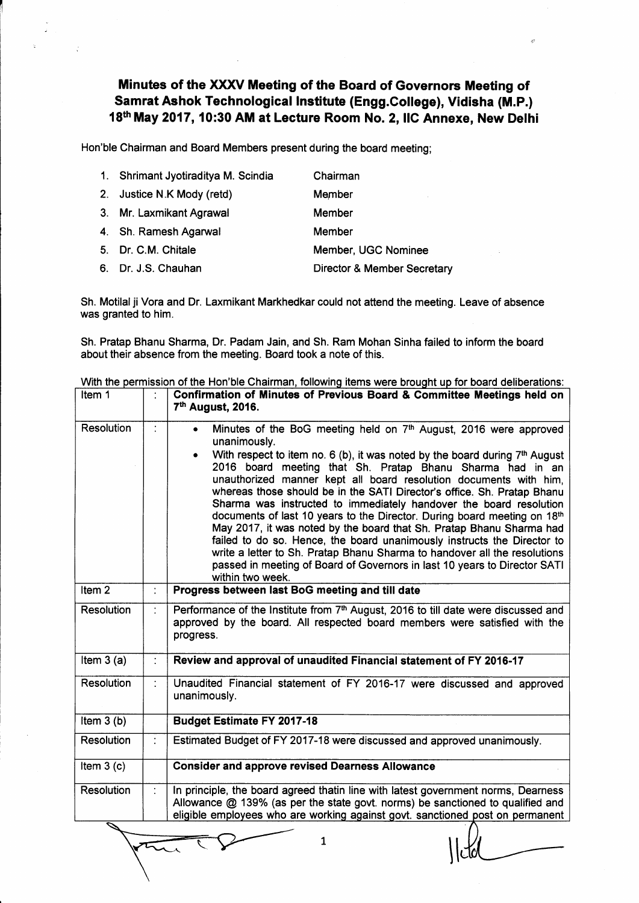## Minutes of the XXXV Meeting of the Board of Governors Meeting of Samrat Ashok Technological lnstitute (Engg.Gollege), Vidisha (M.P.) 18th May 2017, 10:30 AM at Lecture Room No. 2, IIC Annexe, New Delhi

'r

Hon'ble Chairman and Board Members present during the board meeting;

| 1. Shrimant Jyotiraditya M. Scindia | Chairman                               |
|-------------------------------------|----------------------------------------|
| 2. Justice N.K Mody (retd)          | Member                                 |
| 3. Mr. Laxmikant Agrawal            | Member                                 |
| 4. Sh. Ramesh Agarwal               | Member                                 |
| 5. Dr. C.M. Chitale                 | Member, UGC Nominee                    |
| 6. Dr. J.S. Chauhan                 | <b>Director &amp; Member Secretary</b> |

Sh. Motilal ji Vora and Dr. Laxmikant Markhedkar could not attend the meeting. Leave of absence was granted to him.

Sh. Pratap Bhanu Sharma, Dr. Padam Jain, and Sh. Ram Mohan Sinha failed to inform the board about their absence from the meeting. Board took a note of this.

With the permission of the Hon'ble Chairman, following items were brought up for board deliberations

| Item 1            |   | Confirmation of Minutes of Previous Board & Committee Meetings held on<br>7 <sup>th</sup> August, 2016.                                                                                                                                                                                                                                                                                                                                                                                                                                                                                                                                                                                                                                                                                                                                                                                   |
|-------------------|---|-------------------------------------------------------------------------------------------------------------------------------------------------------------------------------------------------------------------------------------------------------------------------------------------------------------------------------------------------------------------------------------------------------------------------------------------------------------------------------------------------------------------------------------------------------------------------------------------------------------------------------------------------------------------------------------------------------------------------------------------------------------------------------------------------------------------------------------------------------------------------------------------|
| <b>Resolution</b> | ÷ | Minutes of the BoG meeting held on 7th August, 2016 were approved<br>$\bullet$<br>unanimously.<br>With respect to item no. 6 (b), it was noted by the board during 7 <sup>th</sup> August<br>2016 board meeting that Sh. Pratap Bhanu Sharma had in an<br>unauthorized manner kept all board resolution documents with him.<br>whereas those should be in the SATI Director's office. Sh. Pratap Bhanu<br>Sharma was instructed to immediately handover the board resolution<br>documents of last 10 years to the Director. During board meeting on 18th<br>May 2017, it was noted by the board that Sh. Pratap Bhanu Sharma had<br>failed to do so. Hence, the board unanimously instructs the Director to<br>write a letter to Sh. Pratap Bhanu Sharma to handover all the resolutions<br>passed in meeting of Board of Governors in last 10 years to Director SATI<br>within two week. |
| Item <sub>2</sub> | ÷ | Progress between last BoG meeting and till date                                                                                                                                                                                                                                                                                                                                                                                                                                                                                                                                                                                                                                                                                                                                                                                                                                           |
| Resolution        |   | Performance of the Institute from 7 <sup>th</sup> August, 2016 to till date were discussed and<br>approved by the board. All respected board members were satisfied with the<br>progress.                                                                                                                                                                                                                                                                                                                                                                                                                                                                                                                                                                                                                                                                                                 |
| Item $3(a)$       | ÷ | Review and approval of unaudited Financial statement of FY 2016-17                                                                                                                                                                                                                                                                                                                                                                                                                                                                                                                                                                                                                                                                                                                                                                                                                        |
| Resolution        |   | Unaudited Financial statement of FY 2016-17 were discussed and approved<br>unanimously.                                                                                                                                                                                                                                                                                                                                                                                                                                                                                                                                                                                                                                                                                                                                                                                                   |
| Item $3(b)$       |   | <b>Budget Estimate FY 2017-18</b>                                                                                                                                                                                                                                                                                                                                                                                                                                                                                                                                                                                                                                                                                                                                                                                                                                                         |
| <b>Resolution</b> | ÷ | Estimated Budget of FY 2017-18 were discussed and approved unanimously.                                                                                                                                                                                                                                                                                                                                                                                                                                                                                                                                                                                                                                                                                                                                                                                                                   |
| Item $3(c)$       |   | <b>Consider and approve revised Dearness Allowance</b>                                                                                                                                                                                                                                                                                                                                                                                                                                                                                                                                                                                                                                                                                                                                                                                                                                    |
| <b>Resolution</b> |   | In principle, the board agreed thatin line with latest government norms, Dearness<br>Allowance $@$ 139% (as per the state govt. norms) be sanctioned to qualified and<br>eligible employees who are working against govt. sanctioned post on permanent                                                                                                                                                                                                                                                                                                                                                                                                                                                                                                                                                                                                                                    |
| ク                 |   |                                                                                                                                                                                                                                                                                                                                                                                                                                                                                                                                                                                                                                                                                                                                                                                                                                                                                           |

L

 $\vert$ 

 $\bar{\zeta}$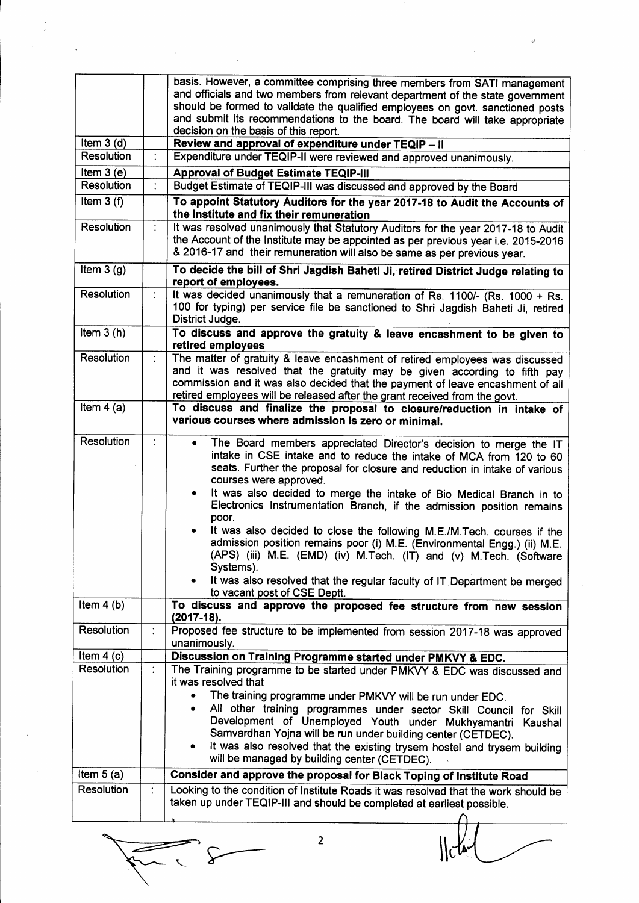|                                  |   | basis. However, a committee comprising three members from SATI management<br>and officials and two members from relevant department of the state government<br>should be formed to validate the qualified employees on govt. sanctioned posts<br>and submit its recommendations to the board. The board will take appropriate<br>decision on the basis of this report.                                                   |
|----------------------------------|---|--------------------------------------------------------------------------------------------------------------------------------------------------------------------------------------------------------------------------------------------------------------------------------------------------------------------------------------------------------------------------------------------------------------------------|
| Item $3(d)$<br><b>Resolution</b> |   | Review and approval of expenditure under TEQIP - II                                                                                                                                                                                                                                                                                                                                                                      |
|                                  |   | Expenditure under TEQIP-II were reviewed and approved unanimously.                                                                                                                                                                                                                                                                                                                                                       |
| Item $3(e)$<br><b>Resolution</b> | ÷ | <b>Approval of Budget Estimate TEQIP-III</b>                                                                                                                                                                                                                                                                                                                                                                             |
|                                  |   | Budget Estimate of TEQIP-III was discussed and approved by the Board                                                                                                                                                                                                                                                                                                                                                     |
| Item $3(f)$                      |   | To appoint Statutory Auditors for the year 2017-18 to Audit the Accounts of<br>the Institute and fix their remuneration                                                                                                                                                                                                                                                                                                  |
| Resolution                       |   | It was resolved unanimously that Statutory Auditors for the year 2017-18 to Audit                                                                                                                                                                                                                                                                                                                                        |
|                                  |   | the Account of the Institute may be appointed as per previous year i.e. 2015-2016<br>& 2016-17 and their remuneration will also be same as per previous year.                                                                                                                                                                                                                                                            |
| Item $3(g)$                      |   | To decide the bill of Shri Jagdish Baheti Ji, retired District Judge relating to<br>report of employees.                                                                                                                                                                                                                                                                                                                 |
| Resolution                       | ÷ | It was decided unanimously that a remuneration of Rs. 1100/- (Rs. 1000 + Rs.<br>100 for typing) per service file be sanctioned to Shri Jagdish Baheti Ji, retired<br>District Judge.                                                                                                                                                                                                                                     |
| Item $3(h)$                      |   | To discuss and approve the gratuity & leave encashment to be given to<br>retired employees                                                                                                                                                                                                                                                                                                                               |
| Resolution                       | ÷ | The matter of gratuity & leave encashment of retired employees was discussed<br>and it was resolved that the gratuity may be given according to fifth pay<br>commission and it was also decided that the payment of leave encashment of all<br>retired employees will be released after the grant received from the govt.                                                                                                |
| Item $4(a)$                      |   | To discuss and finalize the proposal to closure/reduction in intake of<br>various courses where admission is zero or minimal.                                                                                                                                                                                                                                                                                            |
| Resolution                       |   | The Board members appreciated Director's decision to merge the IT<br>intake in CSE intake and to reduce the intake of MCA from 120 to 60<br>seats. Further the proposal for closure and reduction in intake of various<br>courses were approved.<br>It was also decided to merge the intake of Bio Medical Branch in to<br>$\bullet$<br>Electronics Instrumentation Branch, if the admission position remains<br>poor.   |
|                                  |   | It was also decided to close the following M.E./M.Tech. courses if the<br>admission position remains poor (i) M.E. (Environmental Engg.) (ii) M.E.<br>(APS) (iii) M.E. (EMD) (iv) M.Tech. (IT) and (v) M.Tech. (Software<br>Systems).<br>It was also resolved that the regular faculty of IT Department be merged<br>to vacant post of CSE Deptt.                                                                        |
| Item $4(b)$                      |   | To discuss and approve the proposed fee structure from new session<br>$(2017-18).$                                                                                                                                                                                                                                                                                                                                       |
| <b>Resolution</b>                | ÷ | Proposed fee structure to be implemented from session 2017-18 was approved<br>unanimously.                                                                                                                                                                                                                                                                                                                               |
| Item $4(c)$                      |   | Discussion on Training Programme started under PMKVY & EDC.                                                                                                                                                                                                                                                                                                                                                              |
| <b>Resolution</b>                | ÷ | The Training programme to be started under PMKVY & EDC was discussed and<br>it was resolved that                                                                                                                                                                                                                                                                                                                         |
|                                  |   | The training programme under PMKVY will be run under EDC.<br>$\bullet$<br>All other training programmes under sector Skill Council for Skill<br>$\bullet$<br>Development of Unemployed Youth under Mukhyamantri Kaushal<br>Samvardhan Yojna will be run under building center (CETDEC).<br>It was also resolved that the existing trysem hostel and trysem building<br>٠<br>will be managed by building center (CETDEC). |
| Item $5(a)$                      |   | Consider and approve the proposal for Black Toping of Institute Road                                                                                                                                                                                                                                                                                                                                                     |
| <b>Resolution</b>                | ÷ | Looking to the condition of Institute Roads it was resolved that the work should be<br>taken up under TEQIP-III and should be completed at earliest possible.                                                                                                                                                                                                                                                            |
|                                  |   |                                                                                                                                                                                                                                                                                                                                                                                                                          |

 $\mathcal{L}$ سے

 $\vert \vert$  clari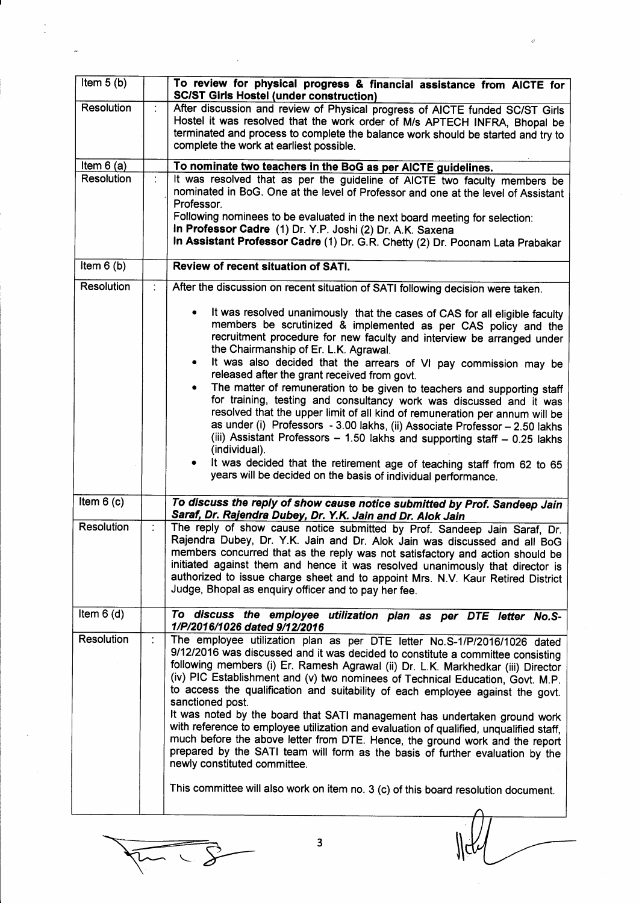| Item $5(b)$       |                      | To review for physical progress & financial assistance from AICTE for<br><b>SC/ST Girls Hostel (under construction)</b>                                                                                                                                                                                                                                                                                                                                                                                                                                                                                                                                                                                                                                                                                         |
|-------------------|----------------------|-----------------------------------------------------------------------------------------------------------------------------------------------------------------------------------------------------------------------------------------------------------------------------------------------------------------------------------------------------------------------------------------------------------------------------------------------------------------------------------------------------------------------------------------------------------------------------------------------------------------------------------------------------------------------------------------------------------------------------------------------------------------------------------------------------------------|
| Resolution        |                      | After discussion and review of Physical progress of AICTE funded SC/ST Girls<br>Hostel it was resolved that the work order of M/s APTECH INFRA, Bhopal be<br>terminated and process to complete the balance work should be started and try to<br>complete the work at earliest possible.                                                                                                                                                                                                                                                                                                                                                                                                                                                                                                                        |
| Item $6(a)$       |                      | To nominate two teachers in the BoG as per AICTE guidelines.                                                                                                                                                                                                                                                                                                                                                                                                                                                                                                                                                                                                                                                                                                                                                    |
| <b>Resolution</b> |                      | It was resolved that as per the guideline of AICTE two faculty members be<br>nominated in BoG. One at the level of Professor and one at the level of Assistant<br>Professor.<br>Following nominees to be evaluated in the next board meeting for selection:<br>In Professor Cadre (1) Dr. Y.P. Joshi (2) Dr. A.K. Saxena<br>In Assistant Professor Cadre (1) Dr. G.R. Chetty (2) Dr. Poonam Lata Prabakar                                                                                                                                                                                                                                                                                                                                                                                                       |
| Item $6(b)$       |                      | Review of recent situation of SATI.                                                                                                                                                                                                                                                                                                                                                                                                                                                                                                                                                                                                                                                                                                                                                                             |
| <b>Resolution</b> | $\ddot{\phantom{a}}$ | After the discussion on recent situation of SATI following decision were taken.                                                                                                                                                                                                                                                                                                                                                                                                                                                                                                                                                                                                                                                                                                                                 |
|                   |                      | It was resolved unanimously that the cases of CAS for all eligible faculty<br>members be scrutinized & implemented as per CAS policy and the<br>recruitment procedure for new faculty and interview be arranged under<br>the Chairmanship of Er. L.K. Agrawal.<br>It was also decided that the arrears of VI pay commission may be<br>$\bullet$<br>released after the grant received from govt.                                                                                                                                                                                                                                                                                                                                                                                                                 |
|                   |                      | The matter of remuneration to be given to teachers and supporting staff<br>$\bullet$<br>for training, testing and consultancy work was discussed and it was<br>resolved that the upper limit of all kind of remuneration per annum will be<br>as under (i) Professors - 3.00 lakhs, (ii) Associate Professor - 2.50 lakhs<br>(iii) Assistant Professors - 1.50 lakhs and supporting staff - 0.25 lakhs<br>(individual).<br>It was decided that the retirement age of teaching staff from 62 to 65                                                                                                                                                                                                                                                                                                               |
|                   |                      | years will be decided on the basis of individual performance.                                                                                                                                                                                                                                                                                                                                                                                                                                                                                                                                                                                                                                                                                                                                                   |
| Item $6(c)$       |                      | To discuss the reply of show cause notice submitted by Prof. Sandeep Jain<br>Saraf, Dr. Rajendra Dubey, Dr. Y.K. Jain and Dr. Alok Jain                                                                                                                                                                                                                                                                                                                                                                                                                                                                                                                                                                                                                                                                         |
| <b>Resolution</b> |                      | The reply of show cause notice submitted by Prof. Sandeep Jain Saraf, Dr.<br>Rajendra Dubey, Dr. Y.K. Jain and Dr. Alok Jain was discussed and all BoG<br>members concurred that as the reply was not satisfactory and action should be<br>initiated against them and hence it was resolved unanimously that director is<br>authorized to issue charge sheet and to appoint Mrs. N.V. Kaur Retired District<br>Judge, Bhopal as enquiry officer and to pay her fee.                                                                                                                                                                                                                                                                                                                                             |
| Item $6(d)$       |                      | To discuss the employee utilization plan as per DTE letter No.S-<br>1/P/2016/1026 dated 9/12/2016                                                                                                                                                                                                                                                                                                                                                                                                                                                                                                                                                                                                                                                                                                               |
| Resolution        | ÷                    | The employee utilization plan as per DTE letter No.S-1/P/2016/1026 dated<br>9/12/2016 was discussed and it was decided to constitute a committee consisting<br>following members (i) Er. Ramesh Agrawal (ii) Dr. L.K. Markhedkar (iii) Director<br>(iv) PIC Establishment and (v) two nominees of Technical Education, Govt. M.P.<br>to access the qualification and suitability of each employee against the govt.<br>sanctioned post.<br>It was noted by the board that SATI management has undertaken ground work<br>with reference to employee utilization and evaluation of qualified, unqualified staff,<br>much before the above letter from DTE. Hence, the ground work and the report<br>prepared by the SATI team will form as the basis of further evaluation by the<br>newly constituted committee. |
|                   |                      | This committee will also work on item no. 3 (c) of this board resolution document.                                                                                                                                                                                                                                                                                                                                                                                                                                                                                                                                                                                                                                                                                                                              |
|                   |                      |                                                                                                                                                                                                                                                                                                                                                                                                                                                                                                                                                                                                                                                                                                                                                                                                                 |
|                   |                      |                                                                                                                                                                                                                                                                                                                                                                                                                                                                                                                                                                                                                                                                                                                                                                                                                 |

 $\overline{X}$